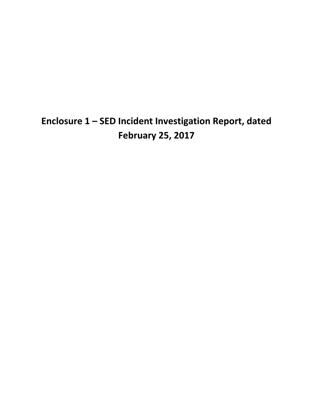# **Enclosure 1 – SED Incident Investigation Report, dated February 25, 2017**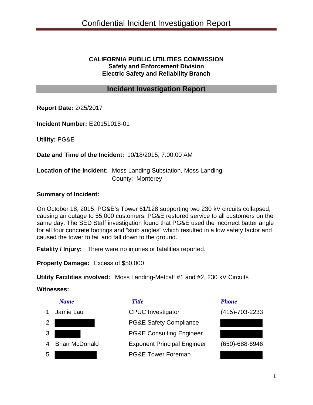### **CALIFORNIA PUBLIC UTILITIES COMMISSION Safety and Enforcement Division Electric Safety and Reliability Branch**

### **Incident Investigation Report**

**Report Date:** 2/25/2017

**Incident Number:** E20151018-01

**Utility:** PG&E

**Date and Time of the Incident:** 10/18/2015, 7:00:00 AM

### **Location of the Incident:** Moss Landing Substation, Moss Landing County: Monterey

### **Summary of Incident:**

On October 18, 2015, PG&E's Tower 61/128 supporting two 230 kV circuits collapsed, causing an outage to 55,000 customers. PG&E restored service to all customers on the same day. The SED Staff investigation found that PG&E used the incorrect batter angle for all four concrete footings and "stub angles" which resulted in a low safety factor and caused the tower to fail and fall down to the ground.

**Fatality / Injury:** There were no injuries or fatalities reported.

**Property Damage:** Excess of \$50,000

**Utility Facilities involved:** Moss Landing-Metcalf #1 and #2, 230 kV Circuits

### **Witnesses:**





 Jamie Lau CPUC Investigator (415)-703-2233 **PG&E Safety Compliance**  PG&E Consulting Engineer Brian McDonald Exponent Principal Engineer (650)-688-6946 PG&E Tower Foreman



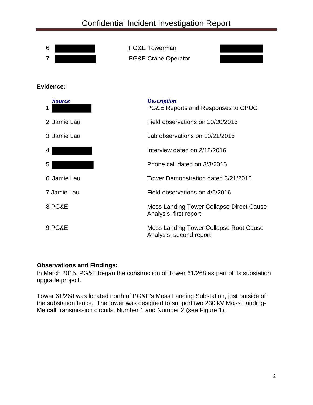

### **Observations and Findings:**

In March 2015, PG&E began the construction of Tower 61/268 as part of its substation upgrade project.

Tower 61/268 was located north of PG&E's Moss Landing Substation, just outside of the substation fence. The tower was designed to support two 230 kV Moss Landing- Metcalf transmission circuits, Number 1 and Number 2 (see Figure 1).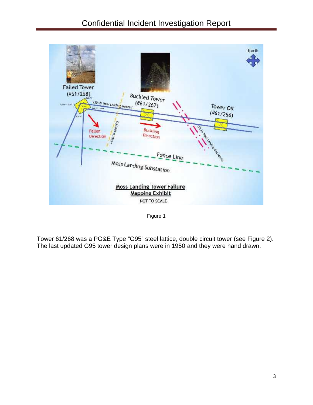

Figure 1

Tower 61/268 was a PG&E Type "G95" steel lattice, double circuit tower (see Figure 2). The last updated G95 tower design plans were in 1950 and they were hand drawn.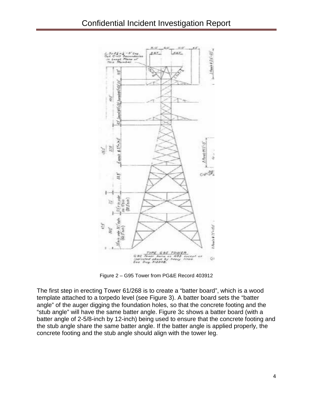

Figure 2 – G95 Tower from PG&E Record 403912

The first step in erecting Tower 61/268 is to create a "batter board", which is a wood template attached to a torpedo level (see Figure 3). A batter board sets the "batter angle" of the auger digging the foundation holes, so that the concrete footing and the "stub angle" will have the same batter angle. Figure 3c shows a batter board (with a batter angle of 2-5/8-inch by 12-inch) being used to ensure that the concrete footing and the stub angle share the same batter angle. If the batter angle is applied properly, the concrete footing and the stub angle should align with the tower leg.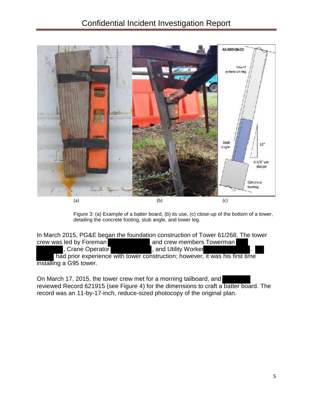

Figure 3: (a) Example of a batter board, (b) its use, (c) close-up of the bottom of a tower, detailing the concrete footing, stub angle, and tower leg.

In March 2015, PG&E began the foundation construction of Tower 61/268. The tower crew was led by Foreman and crew members Towerman

, Crane Operator **Contact Contract Contract Contract Contract Contract Contract Contract Contract Contract Contract Contract Contract Contract Contract Contract Contract Contract Contract Contract Contract Contract Contrac** 

 had prior experience with tower construction; however, it was his first time installing a G95 tower.

On March 17, 2015, the tower crew met for a morning tailboard, and reviewed Record 621915 (see Figure 4) for the dimensions to craft a batter board. The record was an 11-by-17-inch, reduce-sized photocopy of the original plan.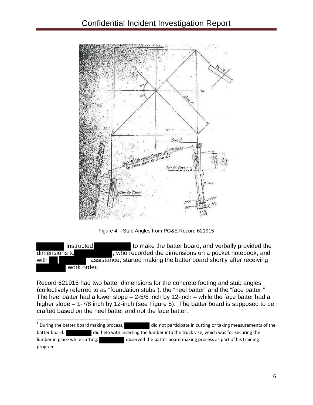

Figure 4 – Stub Angles from PG&E Record 621915

instructed to make the batter board, and verbally provided the dimensions to **the contract of the dimensions** on a pocket notebook, and with assistance, started making the batter board shortly after receiving work order.

Record 621915 had two batter dimensions for the concrete footing and stub angles (collectively referred to as "foundation stubs"): the "heel batter" and the "face batter." The heel batter had a lower slope  $-2-5/8$  inch by 12-inch – while the face batter had a higher slope – 1-7/8 inch by 12-inch (see Figure 5). The batter board is supposed to be crafted based on the heel batter and not the face batter.

 $1$  During the batter board making process, did not participate in cutting or taking measurements of the batter board. did help with inserting the lumber into the truck vise, which was for securing the lumber in place while cutting.  $\qquad \qquad$  observed the batter board making process as part of his training program.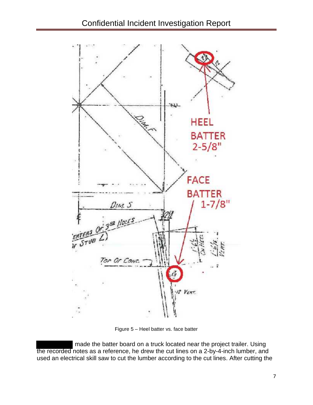## Confidential Incident Investigation Report



Figure 5 – Heel batter vs. face batter

 made the batter board on a truck located near the project trailer. Using the recorded notes as a reference, he drew the cut lines on a 2-by-4-inch lumber, and used an electrical skill saw to cut the lumber according to the cut lines. After cutting the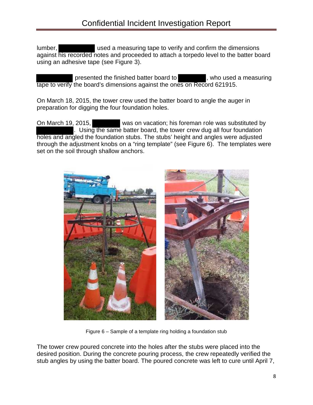lumber, **used a measuring tape to verify and confirm the dimensions** against his recorded notes and proceeded to attach a torpedo level to the batter board using an adhesive tape (see Figure 3).

presented the finished batter board to , who used a measuring tape to verify the board's dimensions against the ones on Record 621915.

On March 18, 2015, the tower crew used the batter board to angle the auger in preparation for digging the four foundation holes.

On March 19, 2015, was on vacation; his foreman role was substituted by . Using the same batter board, the tower crew dug all four foundation holes and angled the foundation stubs. The stubs' height and angles were adjusted through the adjustment knobs on a "ring template" (see Figure 6). The templates were set on the soil through shallow anchors.



Figure 6 – Sample of a template ring holding a foundation stub

The tower crew poured concrete into the holes after the stubs were placed into the desired position. During the concrete pouring process, the crew repeatedly verified the stub angles by using the batter board. The poured concrete was left to cure until April 7,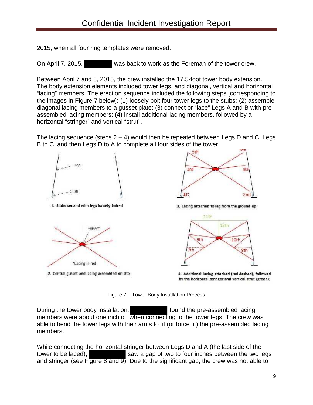2015, when all four ring templates were removed.

On April 7, 2015, was back to work as the Foreman of the tower crew.

Between April 7 and 8, 2015, the crew installed the 17.5-foot tower body extension. The body extension elements included tower legs, and diagonal, vertical and horizontal "lacing" members. The erection sequence included the following steps [corresponding to the images in Figure 7 below]: (1) loosely bolt four tower legs to the stubs; (2) assemble diagonal lacing members to a gusset plate; (3) connect or "lace" Legs A and B with pre assembled lacing members; (4) install additional lacing members, followed by a horizontal "stringer" and vertical "strut".

The lacing sequence (steps  $2 - 4$ ) would then be repeated between Legs D and C, Legs B to C, and then Legs D to A to complete all four sides of the tower.



Figure 7 – Tower Body Installation Process

During the tower body installation, found the pre-assembled lacing members were about one inch off when connecting to the tower legs. The crew was able to bend the tower legs with their arms to fit (or force fit) the pre-assembled lacing members.

While connecting the horizontal stringer between Legs D and A (the last side of the tower to be laced), saw a gap of two to four inches between the two legs and stringer (see Figure 8 and  $\overline{9}$ ). Due to the significant gap, the crew was not able to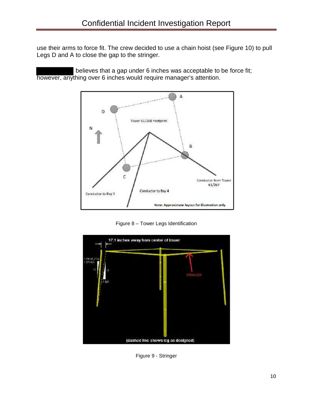use their arms to force fit. The crew decided to use a chain hoist (see Figure 10) to pull Legs D and A to close the gap to the stringer.

believes that a gap under 6 inches was acceptable to be force fit; however, anything over 6 inches would require manager's attention.



Figure 8 – Tower Legs Identification



Figure 9 - Stringer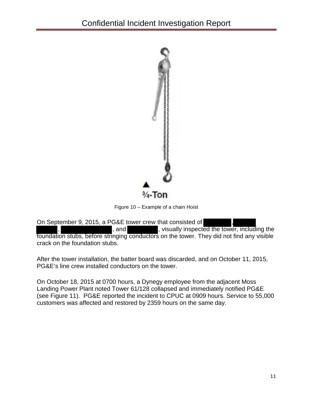

Figure 10 – Example of a chain Hoist

On September 9, 2015, a PG&E tower crew that consisted of

, and  $\blacksquare$ , visually inspected the tower, including the foundation stubs, before stringing conductors on the tower. They did not find any visible crack on the foundation stubs.

After the tower installation, the batter board was discarded, and on October 11, 2015, PG&E's line crew installed conductors on the tower.

On October 18, 2015 at 0700 hours, a Dynegy employee from the adjacent Moss Landing Power Plant noted Tower 61/128 collapsed and immediately notified PG&E (see Figure 11). PG&E reported the incident to CPUC at 0909 hours. Service to 55,000 customers was affected and restored by 2359 hours on the same day.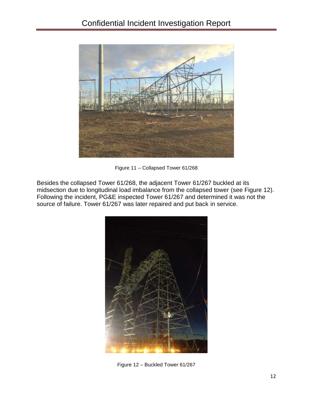

Figure 11 – Collapsed Tower 61/268

Besides the collapsed Tower 61/268, the adjacent Tower 61/267 buckled at its midsection due to longitudinal load imbalance from the collapsed tower (see Figure 12). Following the incident, PG&E inspected Tower 61/267 and determined it was not the source of failure. Tower 61/267 was later repaired and put back in service.



Figure 12 – Buckled Tower 61/267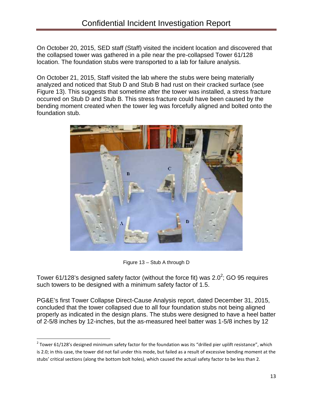On October 20, 2015, SED staff (Staff) visited the incident location and discovered that the collapsed tower was gathered in a pile near the pre-collapsed Tower 61/128 location. The foundation stubs were transported to a lab for failure analysis.

On October 21, 2015, Staff visited the lab where the stubs were being materially analyzed and noticed that Stub D and Stub B had rust on their cracked surface (see Figure 13). This suggests that sometime after the tower was installed, a stress fracture occurred on Stub D and Stub B. This stress fracture could have been caused by the bending moment created when the tower leg was forcefully aligned and bolted onto the foundation stub.



Figure 13 – Stub A through D

Tower 61/128's designed safety factor (without the force fit) was 2.0 $^2$ ; GO 95 requires such towers to be designed with a minimum safety factor of 1.5.

PG&E's first Tower Collapse Direct-Cause Analysis report, dated December 31, 2015, concluded that the tower collapsed due to all four foundation stubs not being aligned properly as indicated in the design plans. The stubs were designed to have a heel batter of 2-5/8 inches by 12-inches, but the as-measured heel batter was 1-5/8 inches by 12

 $2$  Tower 61/128's designed minimum safety factor for the foundation was its "drilled pier uplift resistance", which is 2.0; in this case, the tower did not fail under this mode, but failed as a result of excessive bending moment at the stubs' critical sections (along the bottom bolt holes), which caused the actual safety factor to be less than 2.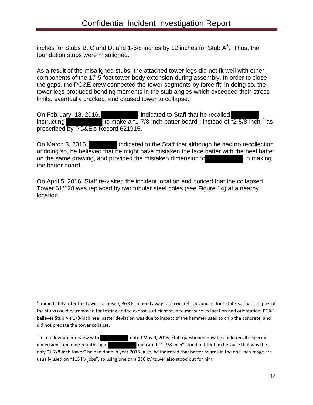inches for Stubs B, C and D, and 1-6/8 inches by 12 inches for Stub A $^3$ . Thus, the foundation stubs were misaligned.

As a result of the misaligned stubs, the attached tower legs did not fit well with other components of the 17-5-foot tower body extension during assembly. In order to close the gaps, the PG&E crew connected the tower segments by force fit; in doing so, the tower legs produced bending moments in the stub angles which exceeded their stress limits, eventually cracked, and caused tower to collapse.

On February, 18, 2016,<br>indicated to Staff that he recalled<br>instructing to make a "1-7/8-inch batter board"; instead of "2-5/8-inch"<sup>4</sup> as prescribed by PG&E's Record 621915.

On March 3, 2016, indicated to the Staff that although he had no recollection of doing so, he believed that he might have mistaken the face batter with the heel batter on the same drawing, and provided the mistaken dimension to in making the batter board.

On April 5, 2016, Staff re-visited the incident location and noticed that the collapsed Tower 61/128 was replaced by two tubular steel poles (see Figure 14) at a nearby location.

 $^3$  Immediately after the tower collapsed, PG&E chipped away foot concrete around all four stubs so that samples of the stubs could be removed for testing and to expose sufficient stub to measure its location and orientation. PG&E believes Stub A's 1/8-inch heel batter deviation was due to impact of the hammer used to chip the concrete, and did not predate the tower collapse.

<sup>&</sup>lt;sup>4</sup> In a follow-up interview with dated May 9, 2016, Staff questioned how he could recall a specific dimension from nine-months ago. indicated "1-7/8-inch" stood out for him because that was the only "1-7/8-inch tower" he had done in year 2015. Also, he indicated that batter boards in the one-inch range are usually used on "115 kV jobs", so using one on a 230 kV tower also stood out for him.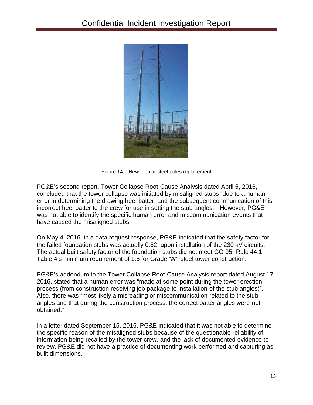

Figure 14 – New tubular steel poles replacement

PG&E's second report, Tower Collapse Root-Cause Analysis dated April 5, 2016, concluded that the tower collapse was initiated by misaligned stubs "due to a human error in determining the drawing heel batter; and the subsequent communication of this incorrect heel batter to the crew for use in setting the stub angles." However, PG&E was not able to identify the specific human error and miscommunication events that have caused the misaligned stubs.

On May 4, 2016, in a data request response, PG&E indicated that the safety factor for the failed foundation stubs was actually 0.62, upon installation of the 230 kV circuits. The actual built safety factor of the foundation stubs did not meet GO 95, Rule 44.1, Table 4's minimum requirement of 1.5 for Grade "A", steel tower construction.

PG&E's addendum to the Tower Collapse Root-Cause Analysis report dated August 17, 2016, stated that a human error was "made at some point during the tower erection process (from construction receiving job package to installation of the stub angles)". Also, there was "most likely a misreading or miscommunication related to the stub angles and that during the construction process, the correct batter angles were not obtained."

In a letter dated September 15, 2016, PG&E indicated that it was not able to determine the specific reason of the misaligned stubs because of the questionable reliability of information being recalled by the tower crew, and the lack of documented evidence to review. PG&E did not have a practice of documenting work performed and capturing as built dimensions.